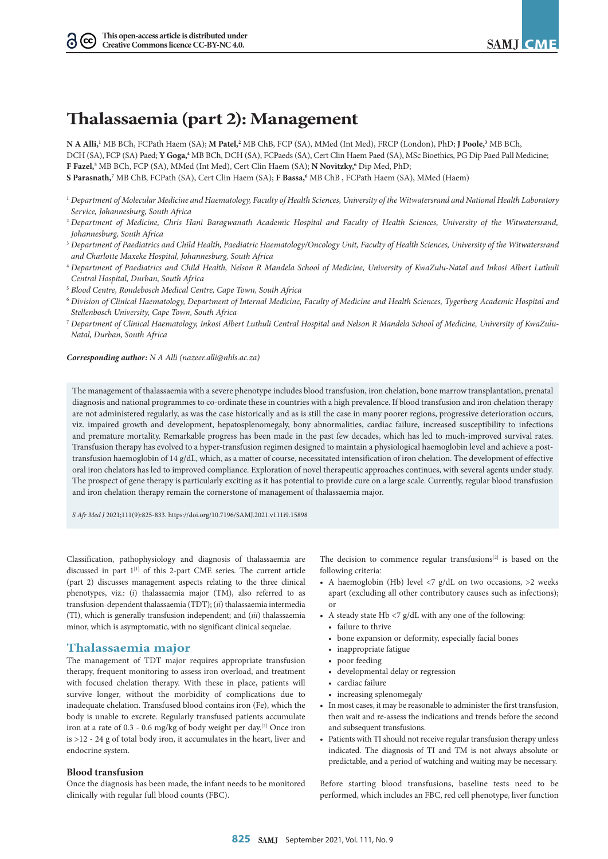# **Thalassaemia (part 2): Management**

**N A Alli,1** MB BCh, FCPath Haem (SA); **M Patel,2** MB ChB, FCP (SA), MMed (Int Med), FRCP (London), PhD; **J Poole,3** MB BCh, DCH (SA), FCP (SA) Paed; **Y Goga,4** MB BCh, DCH (SA), FCPaeds (SA), Cert Clin Haem Paed (SA), MSc Bioethics, PG Dip Paed Pall Medicine; **F Fazel,5** MB BCh, FCP (SA), MMed (Int Med), Cert Clin Haem (SA); **N Novitzky,6** Dip Med, PhD; **S Parasnath,7** MB ChB, FCPath (SA), Cert Clin Haem (SA); **F Bassa,6** MB ChB , FCPath Haem (SA), MMed (Haem)

- <sup>1</sup> *Department of Molecular Medicine and Haematology, Faculty of Health Sciences, University of the Witwatersrand and National Health Laboratory Service, Johannesburg, South Africa*
- <sup>2</sup> *Department of Medicine, Chris Hani Baragwanath Academic Hospital and Faculty of Health Sciences, University of the Witwatersrand, Johannesburg, South Africa*
- <sup>3</sup> *Department of Paediatrics and Child Health, Paediatric Haematology/Oncology Unit, Faculty of Health Sciences, University of the Witwatersrand and Charlotte Maxeke Hospital, Johannesburg, South Africa*
- <sup>4</sup> *Department of Paediatrics and Child Health, Nelson R Mandela School of Medicine, University of KwaZulu-Natal and Inkosi Albert Luthuli Central Hospital, Durban, South Africa*
- 5  *Blood Centre, Rondebosch Medical Centre, Cape Town, South Africa*
- <sup>6</sup> *Division of Clinical Haematology, Department of Internal Medicine, Faculty of Medicine and Health Sciences, Tygerberg Academic Hospital and Stellenbosch University, Cape Town, South Africa*
- <sup>7</sup> *Department of Clinical Haematology, Inkosi Albert Luthuli Central Hospital and Nelson R Mandela School of Medicine, University of KwaZulu-Natal, Durban, South Africa*

*Corresponding author: N A Alli ([nazeer.alli@nhls.ac.za\)](mailto:nazeer.alli@nhls.ac.za)* 

The management of thalassaemia with a severe phenotype includes blood transfusion, iron chelation, bone marrow transplantation, prenatal diagnosis and national programmes to co-ordinate these in countries with a high prevalence. If blood transfusion and iron chelation therapy are not administered regularly, as was the case historically and as is still the case in many poorer regions, progressive deterioration occurs, viz. impaired growth and development, hepatosplenomegaly, bony abnormalities, cardiac failure, increased susceptibility to infections and premature mortality. Remarkable progress has been made in the past few decades, which has led to much-improved survival rates. Transfusion therapy has evolved to a hyper-transfusion regimen designed to maintain a physiological haemoglobin level and achieve a posttransfusion haemoglobin of 14 g/dL, which, as a matter of course, necessitated intensification of iron chelation. The development of effective oral iron chelators has led to improved compliance. Exploration of novel therapeutic approaches continues, with several agents under study. The prospect of gene therapy is particularly exciting as it has potential to provide cure on a large scale. Currently, regular blood transfusion and iron chelation therapy remain the cornerstone of management of thalassaemia major.

*S Afr Med J* 2021;111(9):825-833. <https://doi.org/10.7196/SAMJ.2021.v111i9.15898>

Classification, pathophysiology and diagnosis of thalassaemia are discussed in part  $1^{[1]}$  of this 2-part CME series. The current article (part 2) discusses management aspects relating to the three clinical phenotypes, viz.: (*i*) thalassaemia major (TM), also referred to as transfusion-dependent thalassaemia (TDT); (*ii*) thalassaemia intermedia (TI), which is generally transfusion independent; and (*iii*) thalassaemia minor, which is asymptomatic, with no significant clinical sequelae.

# **Thalassaemia major**

The management of TDT major requires appropriate transfusion therapy, frequent monitoring to assess iron overload, and treatment with focused chelation therapy. With these in place, patients will survive longer, without the morbidity of complications due to inadequate chelation. Transfused blood contains iron (Fe), which the body is unable to excrete. Regularly transfused patients accumulate iron at a rate of 0.3 - 0.6 mg/kg of body weight per day.[2] Once iron is >12 - 24 g of total body iron, it accumulates in the heart, liver and endocrine system.

# **Blood transfusion**

Once the diagnosis has been made, the infant needs to be monitored clinically with regular full blood counts (FBC).

The decision to commence regular transfusions $[2]$  is based on the following criteria:

- A haemoglobin (Hb) level  $\langle 7 \text{ g/d}$ L on two occasions,  $>2$  weeks apart (excluding all other contributory causes such as infections); or
- A steady state Hb  $\langle 7 \text{ g/d}$ L with any one of the following:
	- failure to thrive
	- bone expansion or deformity, especially facial bones
	- inappropriate fatigue
	- poor feeding
	- developmental delay or regression
	- cardiac failure
	- increasing splenomegaly
- In most cases, it may be reasonable to administer the first transfusion, then wait and re-assess the indications and trends before the second and subsequent transfusions.
- Patients with TI should not receive regular transfusion therapy unless indicated. The diagnosis of TI and TM is not always absolute or predictable, and a period of watching and waiting may be necessary.

Before starting blood transfusions, baseline tests need to be performed, which includes an FBC, red cell phenotype, liver function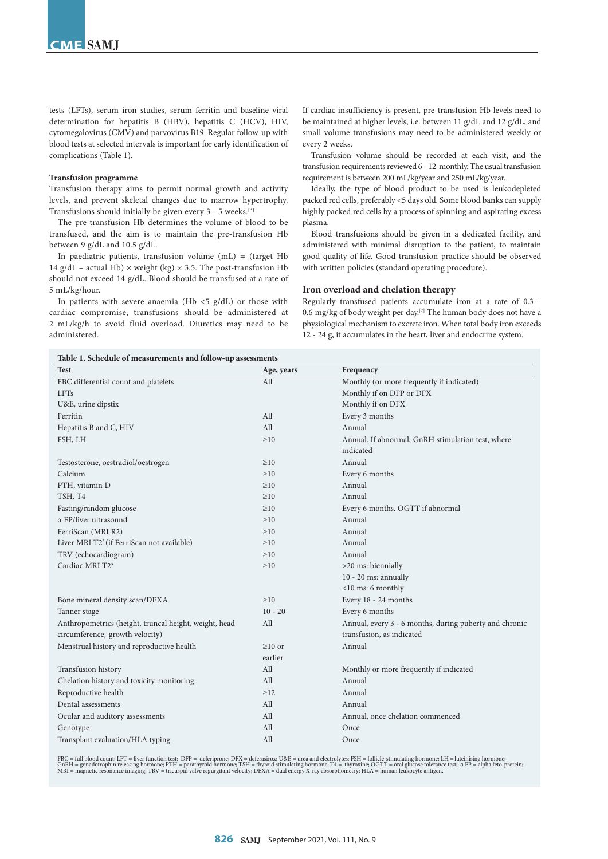tests (LFTs), serum iron studies, serum ferritin and baseline viral determination for hepatitis B (HBV), hepatitis C (HCV), HIV, cytomegalovirus (CMV) and parvovirus B19. Regular follow-up with blood tests at selected intervals is important for early identification of complications (Table 1).

## **Transfusion programme**

Transfusion therapy aims to permit normal growth and activity levels, and prevent skeletal changes due to marrow hypertrophy. Transfusions should initially be given every 3 - 5 weeks. [3]

The pre-transfusion Hb determines the volume of blood to be transfused, and the aim is to maintain the pre-transfusion Hb between 9 g/dL and 10.5 g/dL.

In paediatric patients, transfusion volume (mL) = (target Hb 14 g/dL – actual Hb)  $\times$  weight (kg)  $\times$  3.5. The post-transfusion Hb should not exceed 14 g/dL. Blood should be transfused at a rate of 5 mL/kg/hour.

In patients with severe anaemia (Hb  $<$ 5  $g/dL$ ) or those with cardiac compromise, transfusions should be administered at 2 mL/kg/h to avoid fluid overload. Diuretics may need to be administered.

If cardiac insufficiency is present, pre-transfusion Hb levels need to be maintained at higher levels, i.e. between 11 g/dL and 12 g/dL, and small volume transfusions may need to be administered weekly or every 2 weeks.

Transfusion volume should be recorded at each visit, and the transfusion requirements reviewed 6 - 12-monthly. The usual transfusion requirement is between 200 mL/kg/year and 250 mL/kg/year.

Ideally, the type of blood product to be used is leukodepleted packed red cells, preferably <5 days old. Some blood banks can supply highly packed red cells by a process of spinning and aspirating excess plasma.

Blood transfusions should be given in a dedicated facility, and administered with minimal disruption to the patient, to maintain good quality of life. Good transfusion practice should be observed with written policies (standard operating procedure).

#### **Iron overload and chelation therapy**

Regularly transfused patients accumulate iron at a rate of 0.3 - 0.6 mg/kg of body weight per day.[2] The human body does not have a physiological mechanism to excrete iron. When total body iron exceeds 12 - 24 g, it accumulates in the heart, liver and endocrine system.

# **Table 1. Schedule of measurements and follow-up assessments**

| Test                                                   | Age, years   | Frequency                                              |
|--------------------------------------------------------|--------------|--------------------------------------------------------|
| FBC differential count and platelets                   | All          | Monthly (or more frequently if indicated)              |
| <b>LFTs</b>                                            |              | Monthly if on DFP or DFX                               |
| U&E, urine dipstix                                     |              | Monthly if on DFX                                      |
| Ferritin                                               | All          | Every 3 months                                         |
| Hepatitis B and C, HIV                                 | All          | Annual                                                 |
| FSH, LH                                                | $\geq 10$    | Annual. If abnormal, GnRH stimulation test, where      |
|                                                        |              | indicated                                              |
| Testosterone, oestradiol/oestrogen                     | $\geq 10$    | Annual                                                 |
| Calcium                                                | $\geq 10$    | Every 6 months                                         |
| PTH, vitamin D                                         | $\geq 10$    | Annual                                                 |
| TSH, T4                                                | $\geq 10$    | Annual                                                 |
| Fasting/random glucose                                 | $\geq 10$    | Every 6 months. OGTT if abnormal                       |
| $\alpha$ FP/liver ultrasound                           | $\geq 10$    | Annual                                                 |
| FerriScan (MRI R2)                                     | $\geq 10$    | Annual                                                 |
| Liver MRI T2 <sup>*</sup> (if FerriScan not available) | $\geq 10$    | Annual                                                 |
| TRV (echocardiogram)                                   | $\geq 10$    | Annual                                                 |
| Cardiac MRI T2*                                        | $\geq 10$    | >20 ms: biennially                                     |
|                                                        |              | $10 - 20$ ms: annually                                 |
|                                                        |              | $<$ 10 ms: 6 monthly                                   |
| Bone mineral density scan/DEXA                         | $\geq 10$    | Every 18 - 24 months                                   |
| Tanner stage                                           | $10 - 20$    | Every 6 months                                         |
| Anthropometrics (height, truncal height, weight, head  | All          | Annual, every 3 - 6 months, during puberty and chronic |
| circumference, growth velocity)                        |              | transfusion, as indicated                              |
| Menstrual history and reproductive health              | $\geq 10$ or | Annual                                                 |
|                                                        | earlier      |                                                        |
| Transfusion history                                    | All          | Monthly or more frequently if indicated                |
| Chelation history and toxicity monitoring              | All          | Annual                                                 |
| Reproductive health                                    | $\geq$ 12    | Annual                                                 |
| Dental assessments                                     | All          | Annual                                                 |
| Ocular and auditory assessments                        | All          | Annual, once chelation commenced                       |
| Genotype                                               | All          | Once                                                   |
| Transplant evaluation/HLA typing                       | All          | Once                                                   |

FBC = full blood count; LFT = liver function test; DFP = deferiprone; DFX = deferasirox; U&E = urea and electrolytes; FSH = follicle-stimulating hormone; LH = luteinising hormone;<br>GnRH = gonadotrophin releasing hormone; P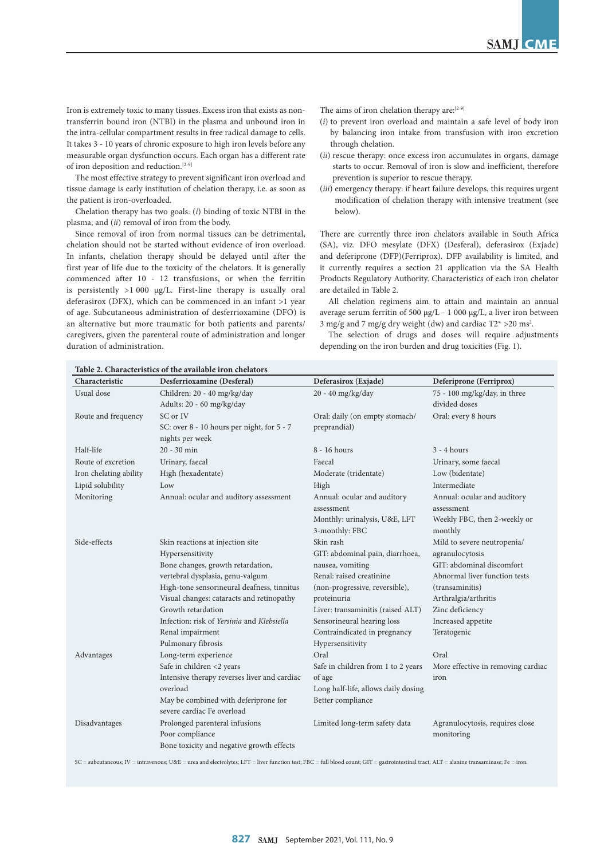Iron is extremely toxic to many tissues. Excess iron that exists as nontransferrin bound iron (NTBI) in the plasma and unbound iron in the intra-cellular compartment results in free radical damage to cells. It takes 3 - 10 years of chronic exposure to high iron levels before any measurable organ dysfunction occurs. Each organ has a different rate of iron deposition and reduction.[2-9]

The most effective strategy to prevent significant iron overload and tissue damage is early institution of chelation therapy, i.e. as soon as the patient is iron-overloaded.

Chelation therapy has two goals: (*i*) binding of toxic NTBI in the plasma; and (*ii*) removal of iron from the body.

Since removal of iron from normal tissues can be detrimental, chelation should not be started without evidence of iron overload. In infants, chelation therapy should be delayed until after the first year of life due to the toxicity of the chelators. It is generally commenced after 10 - 12 transfusions, or when the ferritin is persistently  $>1000$  µg/L. First-line therapy is usually oral deferasirox (DFX), which can be commenced in an infant >1 year of age. Subcutaneous administration of desferrioxamine (DFO) is an alternative but more traumatic for both patients and parents/ caregivers, given the parenteral route of administration and longer duration of administration.

The aims of iron chelation therapy are:[2-9]

- (*i*) to prevent iron overload and maintain a safe level of body iron by balancing iron intake from transfusion with iron excretion through chelation.
- (*ii*) rescue therapy: once excess iron accumulates in organs, damage starts to occur. Removal of iron is slow and inefficient, therefore prevention is superior to rescue therapy.
- (*iii*) emergency therapy: if heart failure develops, this requires urgent modification of chelation therapy with intensive treatment (see below).

There are currently three iron chelators available in South Africa (SA), viz. DFO mesylate (DFX) (Desferal), deferasirox (Exjade) and deferiprone (DFP)(Ferriprox). DFP availability is limited, and it currently requires a section 21 application via the SA Health Products Regulatory Authority. Characteristics of each iron chelator are detailed in Table 2.

All chelation regimens aim to attain and maintain an annual average serum ferritin of 500 µg/L - 1 000 µg/L, a liver iron between 3 mg/g and 7 mg/g dry weight (dw) and cardiac  $T2* > 20$  ms<sup>2</sup>.

The selection of drugs and doses will require adjustments depending on the iron burden and drug toxicities (Fig. 1).

| Characteristic         | Desferrioxamine (Desferal)                                         | Deferasirox (Exjade)                      | Deferiprone (Ferriprox)                   |
|------------------------|--------------------------------------------------------------------|-------------------------------------------|-------------------------------------------|
| Usual dose             | Children: 20 - 40 mg/kg/day                                        | 20 - 40 mg/kg/day                         | 75 - 100 mg/kg/day, in three              |
|                        | Adults: 20 - 60 mg/kg/day                                          |                                           | divided doses                             |
| Route and frequency    | SC or IV                                                           | Oral: daily (on empty stomach/            | Oral: every 8 hours                       |
|                        | SC: over 8 - 10 hours per night, for 5 - 7                         | preprandial)                              |                                           |
|                        | nights per week                                                    |                                           |                                           |
| Half-life              | $20 - 30$ min                                                      | 8 - 16 hours                              | $3 - 4 hours$                             |
| Route of excretion     | Urinary, faecal                                                    | Faecal                                    | Urinary, some faecal                      |
| Iron chelating ability | High (hexadentate)                                                 | Moderate (tridentate)                     | Low (bidentate)                           |
| Lipid solubility       | Low                                                                | High                                      | Intermediate                              |
| Monitoring             | Annual: ocular and auditory assessment                             | Annual: ocular and auditory<br>assessment | Annual: ocular and auditory<br>assessment |
|                        |                                                                    | Monthly: urinalysis, U&E, LFT             | Weekly FBC, then 2-weekly or              |
|                        |                                                                    | 3-monthly: FBC                            | monthly                                   |
| Side-effects           | Skin reactions at injection site                                   | Skin rash                                 | Mild to severe neutropenia/               |
|                        | Hypersensitivity                                                   | GIT: abdominal pain, diarrhoea,           | agranulocytosis                           |
|                        | Bone changes, growth retardation,                                  | nausea, vomiting                          | GIT: abdominal discomfort                 |
|                        | vertebral dysplasia, genu-valgum                                   | Renal: raised creatinine                  | Abnormal liver function tests             |
|                        | High-tone sensorineural deafness, tinnitus                         | (non-progressive, reversible),            | (transaminitis)                           |
|                        | Visual changes: cataracts and retinopathy                          | proteinuria                               | Arthralgia/arthritis                      |
|                        | Growth retardation                                                 | Liver: transaminitis (raised ALT)         | Zinc deficiency                           |
|                        | Infection: risk of Yersinia and Klebsiella                         | Sensorineural hearing loss                | Increased appetite                        |
|                        | Renal impairment                                                   | Contraindicated in pregnancy              | Teratogenic                               |
|                        | Pulmonary fibrosis                                                 | Hypersensitivity                          |                                           |
| Advantages             | Long-term experience                                               | Oral                                      | Oral                                      |
|                        | Safe in children <2 years                                          | Safe in children from 1 to 2 years        | More effective in removing cardiac        |
|                        | Intensive therapy reverses liver and cardiac                       | of age                                    | iron                                      |
|                        | overload                                                           | Long half-life, allows daily dosing       |                                           |
|                        | May be combined with deferiprone for<br>severe cardiac Fe overload | Better compliance                         |                                           |
| Disadvantages          | Prolonged parenteral infusions                                     | Limited long-term safety data             | Agranulocytosis, requires close           |
|                        | Poor compliance                                                    |                                           | monitoring                                |
|                        | Bone toxicity and negative growth effects                          |                                           |                                           |

SC = subcutaneous; IV = intravenous; U&E = urea and electrolytes; LFT = liver function test; FBC = full blood count; GIT = gastrointestinal tract; ALT = alanine transaminase; Fe = iron.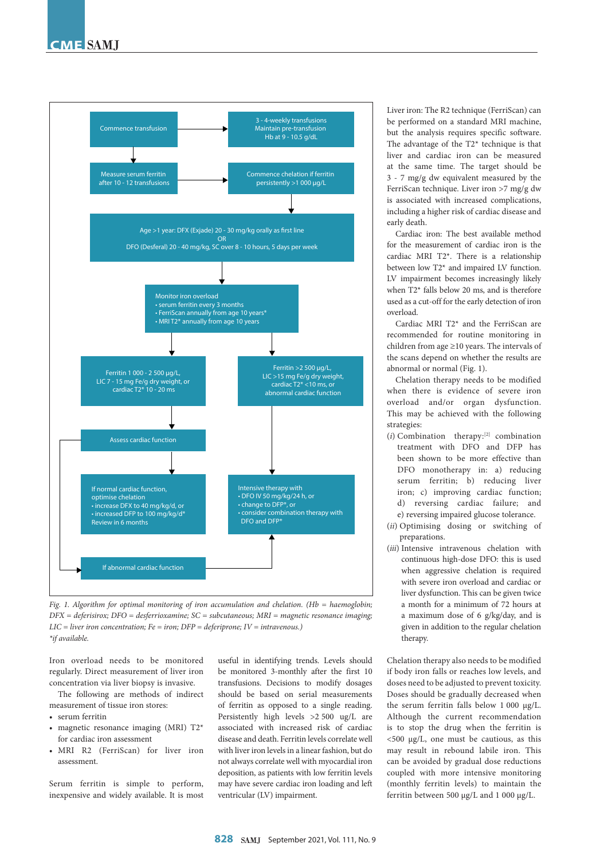

*Fig. 1. Algorithm for optimal monitoring of iron accumulation and chelation. (Hb = haemoglobin; DFX = deferisirox; DFO = desferrioxamine; SC = subcutaneous; MRI = magnetic resonance imaging; LIC = liver iron concentration; Fe = iron; DFP = deferiprone; IV = intravenous.) \*if available.*

Iron overload needs to be monitored regularly. Direct measurement of liver iron concentration via liver biopsy is invasive.

The following are methods of indirect measurement of tissue iron stores:

- serum ferritin
- magnetic resonance imaging (MRI) T2\* for cardiac iron assessment
- MRI R2 (FerriScan) for liver iron assessment.

Serum ferritin is simple to perform, inexpensive and widely available. It is most

useful in identifying trends. Levels should be monitored 3-monthly after the first 10 transfusions. Decisions to modify dosages should be based on serial measurements of ferritin as opposed to a single reading. Persistently high levels >2 500 ug/L are associated with increased risk of cardiac disease and death. Ferritin levels correlate well with liver iron levels in a linear fashion, but do not always correlate well with myocardial iron deposition, as patients with low ferritin levels may have severe cardiac iron loading and left ventricular (LV) impairment.

Liver iron: The R2 technique (FerriScan) can be performed on a standard MRI machine, but the analysis requires specific software. The advantage of the T2\* technique is that liver and cardiac iron can be measured at the same time. The target should be 3 - 7 mg/g dw equivalent measured by the FerriScan technique. Liver iron >7 mg/g dw is associated with increased complications, including a higher risk of cardiac disease and early death.

Cardiac iron: The best available method for the measurement of cardiac iron is the cardiac MRI T2\*. There is a relationship between low T2\* and impaired LV function. LV impairment becomes increasingly likely when T2\* falls below 20 ms, and is therefore used as a cut-off for the early detection of iron overload.

Cardiac MRI T2\* and the FerriScan are recommended for routine monitoring in children from age ≥10 years. The intervals of the scans depend on whether the results are abnormal or normal (Fig. 1).

Chelation therapy needs to be modified when there is evidence of severe iron overload and/or organ dysfunction. This may be achieved with the following strategies:

- (*i*) Combination therapy:[2] combination treatment with DFO and DFP has been shown to be more effective than DFO monotherapy in: a) reducing serum ferritin; b) reducing liver iron; c) improving cardiac function; d) reversing cardiac failure; and e) reversing impaired glucose tolerance.
- (*ii*) Optimising dosing or switching of preparations.
- (*iii*) Intensive intravenous chelation with continuous high-dose DFO: this is used when aggressive chelation is required with severe iron overload and cardiac or liver dysfunction. This can be given twice a month for a minimum of 72 hours at a maximum dose of 6 g/kg/day, and is given in addition to the regular chelation therapy.

Chelation therapy also needs to be modified if body iron falls or reaches low levels, and doses need to be adjusted to prevent toxicity. Doses should be gradually decreased when the serum ferritin falls below  $1000 \mu g/L$ . Although the current recommendation is to stop the drug when the ferritin is <500 µg/L, one must be cautious, as this may result in rebound labile iron. This can be avoided by gradual dose reductions coupled with more intensive monitoring (monthly ferritin levels) to maintain the ferritin between 500 µg/L and 1 000 µg/L.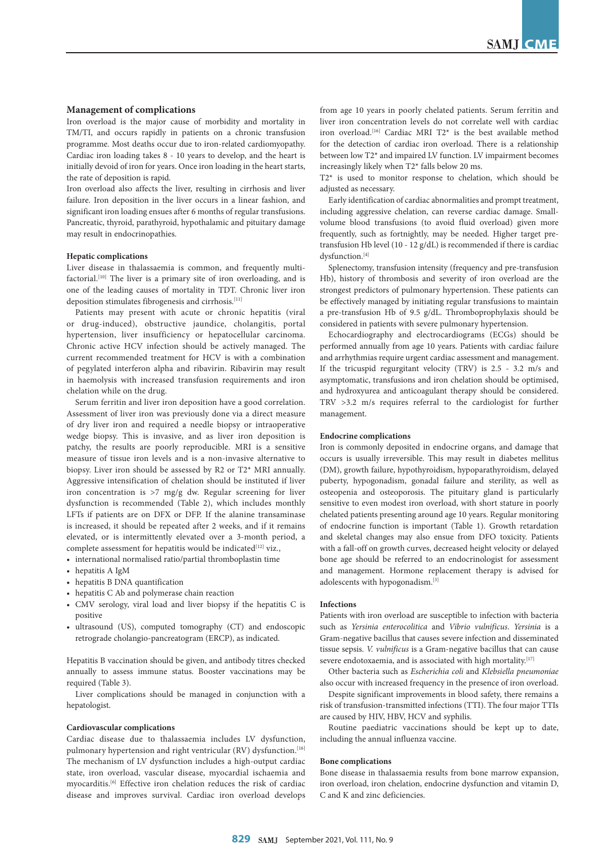#### **Management of complications**

Iron overload is the major cause of morbidity and mortality in TM/TI, and occurs rapidly in patients on a chronic transfusion programme. Most deaths occur due to iron-related cardiomyopathy. Cardiac iron loading takes 8 - 10 years to develop, and the heart is initially devoid of iron for years. Once iron loading in the heart starts, the rate of deposition is rapid.

Iron overload also affects the liver, resulting in cirrhosis and liver failure. Iron deposition in the liver occurs in a linear fashion, and significant iron loading ensues after 6 months of regular transfusions. Pancreatic, thyroid, parathyroid, hypothalamic and pituitary damage may result in endocrinopathies.

#### **Hepatic complications**

Liver disease in thalassaemia is common, and frequently multifactorial.<sup>[10]</sup> The liver is a primary site of iron overloading, and is one of the leading causes of mortality in TDT. Chronic liver iron deposition stimulates fibrogenesis and cirrhosis.[11]

Patients may present with acute or chronic hepatitis (viral or drug-induced), obstructive jaundice, cholangitis, portal hypertension, liver insufficiency or hepatocellular carcinoma. Chronic active HCV infection should be actively managed. The current recommended treatment for HCV is with a combination of pegylated interferon alpha and ribavirin. Ribavirin may result in haemolysis with increased transfusion requirements and iron chelation while on the drug.

Serum ferritin and liver iron deposition have a good correlation. Assessment of liver iron was previously done via a direct measure of dry liver iron and required a needle biopsy or intraoperative wedge biopsy. This is invasive, and as liver iron deposition is patchy, the results are poorly reproducible. MRI is a sensitive measure of tissue iron levels and is a non-invasive alternative to biopsy. Liver iron should be assessed by R2 or T2\* MRI annually. Aggressive intensification of chelation should be instituted if liver iron concentration is >7 mg/g dw. Regular screening for liver dysfunction is recommended (Table 2), which includes monthly LFTs if patients are on DFX or DFP. If the alanine transaminase is increased, it should be repeated after 2 weeks, and if it remains elevated, or is intermittently elevated over a 3-month period, a complete assessment for hepatitis would be indicated<sup>[12]</sup> viz.,

- international normalised ratio/partial thromboplastin time
- hepatitis A IgM
- hepatitis B DNA quantification
- hepatitis C Ab and polymerase chain reaction
- CMV serology, viral load and liver biopsy if the hepatitis C is positive
- ultrasound (US), computed tomography (CT) and endoscopic retrograde cholangio-pancreatogram (ERCP), as indicated.

Hepatitis B vaccination should be given, and antibody titres checked annually to assess immune status. Booster vaccinations may be required (Table 3).

Liver complications should be managed in conjunction with a hepatologist.

#### **Cardiovascular complications**

Cardiac disease due to thalassaemia includes LV dysfunction, pulmonary hypertension and right ventricular (RV) dysfunction.<sup>[16]</sup> The mechanism of LV dysfunction includes a high-output cardiac state, iron overload, vascular disease, myocardial ischaemia and myocarditis.<sup>[6]</sup> Effective iron chelation reduces the risk of cardiac disease and improves survival. Cardiac iron overload develops

from age 10 years in poorly chelated patients. Serum ferritin and liver iron concentration levels do not correlate well with cardiac iron overload.[16] Cardiac MRI T2\* is the best available method for the detection of cardiac iron overload. There is a relationship between low T2\* and impaired LV function. LV impairment becomes increasingly likely when T2\* falls below 20 ms.

T2\* is used to monitor response to chelation, which should be adjusted as necessary.

Early identification of cardiac abnormalities and prompt treatment, including aggressive chelation, can reverse cardiac damage. Smallvolume blood transfusions (to avoid fluid overload) given more frequently, such as fortnightly, may be needed. Higher target pretransfusion Hb level (10 - 12 g/dL) is recommended if there is cardiac dysfunction.<sup>[4]</sup>

Splenectomy, transfusion intensity (frequency and pre-transfusion Hb), history of thrombosis and severity of iron overload are the strongest predictors of pulmonary hypertension. These patients can be effectively managed by initiating regular transfusions to maintain a pre-transfusion Hb of 9.5 g/dL. Thromboprophylaxis should be considered in patients with severe pulmonary hypertension.

Echocardiography and electrocardiograms (ECGs) should be performed annually from age 10 years. Patients with cardiac failure and arrhythmias require urgent cardiac assessment and management. If the tricuspid regurgitant velocity (TRV) is 2.5 - 3.2 m/s and asymptomatic, transfusions and iron chelation should be optimised, and hydroxyurea and anticoagulant therapy should be considered. TRV >3.2 m/s requires referral to the cardiologist for further management.

## **Endocrine complications**

Iron is commonly deposited in endocrine organs, and damage that occurs is usually irreversible. This may result in diabetes mellitus (DM), growth failure, hypothyroidism, hypoparathyroidism, delayed puberty, hypogonadism, gonadal failure and sterility, as well as osteopenia and osteoporosis. The pituitary gland is particularly sensitive to even modest iron overload, with short stature in poorly chelated patients presenting around age 10 years. Regular monitoring of endocrine function is important (Table 1). Growth retardation and skeletal changes may also ensue from DFO toxicity. Patients with a fall-off on growth curves, decreased height velocity or delayed bone age should be referred to an endocrinologist for assessment and management. Hormone replacement therapy is advised for adolescents with hypogonadism.<sup>[3]</sup>

#### **Infections**

Patients with iron overload are susceptible to infection with bacteria such as *Yersinia enterocolitica* and *Vibrio vulnificus*. *Yersinia* is a Gram-negative bacillus that causes severe infection and disseminated tissue sepsis. *V. vulnificus* is a Gram-negative bacillus that can cause severe endotoxaemia, and is associated with high mortality.<sup>[17]</sup>

Other bacteria such as *Escherichia coli* and *Klebsiella pneumoniae* also occur with increased frequency in the presence of iron overload.

Despite significant improvements in blood safety, there remains a risk of transfusion-transmitted infections (TTI). The four major TTIs are caused by HIV, HBV, HCV and syphilis.

Routine paediatric vaccinations should be kept up to date, including the annual influenza vaccine.

#### **Bone complications**

Bone disease in thalassaemia results from bone marrow expansion, iron overload, iron chelation, endocrine dysfunction and vitamin D, C and K and zinc deficiencies.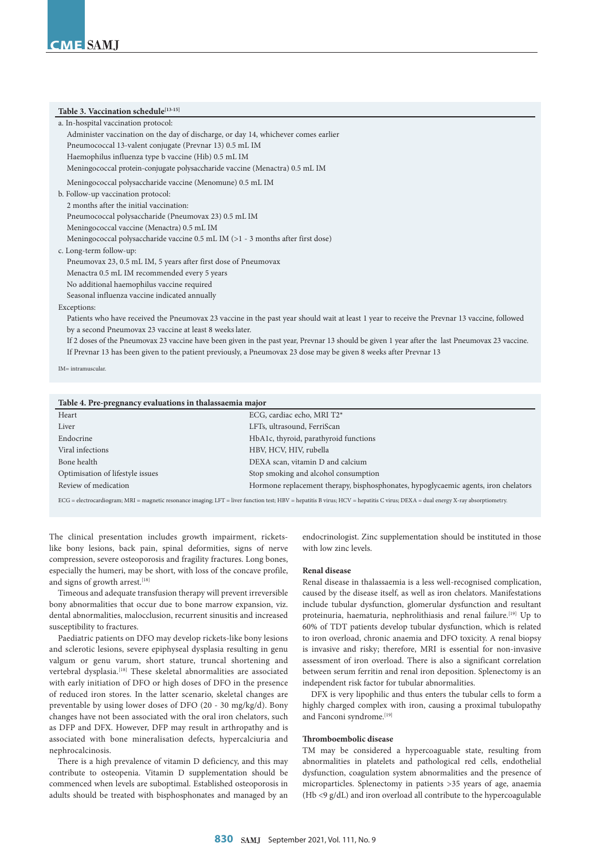# Table 3. Vaccination schedule<sup>[13-15]</sup>

| a. In-hospital vaccination protocol:                                                                                                            |
|-------------------------------------------------------------------------------------------------------------------------------------------------|
| Administer vaccination on the day of discharge, or day 14, whichever comes earlier                                                              |
| Pneumococcal 13-valent conjugate (Prevnar 13) 0.5 mL IM                                                                                         |
| Haemophilus influenza type b vaccine (Hib) 0.5 mL IM                                                                                            |
| Meningococcal protein-conjugate polysaccharide vaccine (Menactra) 0.5 mL IM                                                                     |
| Meningococcal polysaccharide vaccine (Menomune) 0.5 mL IM                                                                                       |
| b. Follow-up vaccination protocol:                                                                                                              |
| 2 months after the initial vaccination:                                                                                                         |
| Pneumococcal polysaccharide (Pneumovax 23) 0.5 mL IM                                                                                            |
| Meningococcal vaccine (Menactra) 0.5 mL IM                                                                                                      |
| Meningococcal polysaccharide vaccine $0.5$ mL IM ( $>1$ - 3 months after first dose)                                                            |
| c. Long-term follow-up:                                                                                                                         |
| Pneumovax 23, 0.5 mL IM, 5 years after first dose of Pneumovax                                                                                  |
| Menactra 0.5 mL IM recommended every 5 years                                                                                                    |
| No additional haemophilus vaccine required                                                                                                      |
| Seasonal influenza vaccine indicated annually                                                                                                   |
| Exceptions:                                                                                                                                     |
| Patients who have received the Pneumovax 23 vaccine in the past year should wait at least 1 year to receive the Prevnar 13 vaccine, followed    |
| by a second Pneumovax 23 vaccine at least 8 weeks later.                                                                                        |
| If 2 doses of the Pneumovax 23 vaccine have been given in the past year, Prevnar 13 should be given 1 year after the last Pneumovax 23 vaccine. |
| If Prevnar 13 has been given to the patient previously, a Pneumovax 23 dose may be given 8 weeks after Prevnar 13                               |
| IM= intramuscular.                                                                                                                              |
|                                                                                                                                                 |

| Table 4. Pre-pregnancy evaluations in thalassaemia major |                                                                                    |  |
|----------------------------------------------------------|------------------------------------------------------------------------------------|--|
| Heart                                                    | ECG, cardiac echo, MRI T2*                                                         |  |
| Liver                                                    | LFTs, ultrasound, FerriScan                                                        |  |
| Endocrine                                                | HbA1c, thyroid, parathyroid functions                                              |  |
| Viral infections                                         | HBV, HCV, HIV, rubella                                                             |  |
| Bone health                                              | DEXA scan, vitamin D and calcium                                                   |  |
| Optimisation of lifestyle issues                         | Stop smoking and alcohol consumption                                               |  |
| Review of medication                                     | Hormone replacement therapy, bisphosphonates, hypoglycaemic agents, iron chelators |  |
|                                                          |                                                                                    |  |

ECG = electrocardiogram; MRI = magnetic resonance imaging; LFT = liver function test; HBV = hepatitis B virus; HCV = hepatitis C virus; DEXA = dual energy X-ray absorptiometry.

The clinical presentation includes growth impairment, ricketslike bony lesions, back pain, spinal deformities, signs of nerve compression, severe osteoporosis and fragility fractures. Long bones, especially the humeri, may be short, with loss of the concave profile, and signs of growth arrest.<sup>[18]</sup>

Timeous and adequate transfusion therapy will prevent irreversible bony abnormalities that occur due to bone marrow expansion, viz. dental abnormalities, malocclusion, recurrent sinusitis and increased susceptibility to fractures.

Paediatric patients on DFO may develop rickets-like bony lesions and sclerotic lesions, severe epiphyseal dysplasia resulting in genu valgum or genu varum, short stature, truncal shortening and vertebral dysplasia.<sup>[18]</sup> These skeletal abnormalities are associated with early initiation of DFO or high doses of DFO in the presence of reduced iron stores. In the latter scenario, skeletal changes are preventable by using lower doses of DFO (20 - 30 mg/kg/d). Bony changes have not been associated with the oral iron chelators, such as DFP and DFX. However, DFP may result in arthropathy and is associated with bone mineralisation defects, hypercalciuria and nephrocalcinosis.

There is a high prevalence of vitamin D deficiency, and this may contribute to osteopenia. Vitamin D supplementation should be commenced when levels are suboptimal. Established osteoporosis in adults should be treated with bisphosphonates and managed by an endocrinologist. Zinc supplementation should be instituted in those with low zinc levels.

# **Renal disease**

Renal disease in thalassaemia is a less well-recognised complication, caused by the disease itself, as well as iron chelators. Manifestations include tubular dysfunction, glomerular dysfunction and resultant proteinuria, haematuria, nephrolithiasis and renal failure.<sup>[19]</sup> Up to 60% of TDT patients develop tubular dysfunction, which is related to iron overload, chronic anaemia and DFO toxicity. A renal biopsy is invasive and risky; therefore, MRI is essential for non-invasive assessment of iron overload. There is also a significant correlation between serum ferritin and renal iron deposition. Splenectomy is an independent risk factor for tubular abnormalities.

DFX is very lipophilic and thus enters the tubular cells to form a highly charged complex with iron, causing a proximal tubulopathy and Fanconi syndrome.<sup>[19]</sup>

# **Thromboembolic disease**

TM may be considered a hypercoaguable state, resulting from abnormalities in platelets and pathological red cells, endothelial dysfunction, coagulation system abnormalities and the presence of microparticles. Splenectomy in patients >35 years of age, anaemia (Hb <9 g/dL) and iron overload all contribute to the hypercoagulable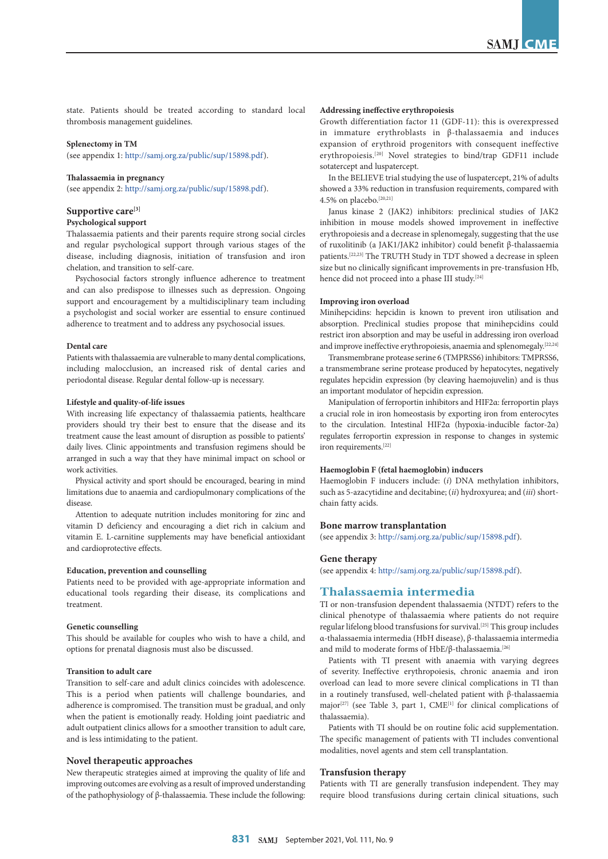state. Patients should be treated according to standard local thrombosis management guidelines.

### **Splenectomy in TM**

(see appendix 1:<http://samj.org.za/public/sup/15898.pdf>).

#### **Thalassaemia in pregnancy**

(see appendix 2:<http://samj.org.za/public/sup/15898.pdf>).

## **Supportive care[3]**

#### **Psychological support**

Thalassaemia patients and their parents require strong social circles and regular psychological support through various stages of the disease, including diagnosis, initiation of transfusion and iron chelation, and transition to self-care.

Psychosocial factors strongly influence adherence to treatment and can also predispose to illnesses such as depression. Ongoing support and encouragement by a multidisciplinary team including a psychologist and social worker are essential to ensure continued adherence to treatment and to address any psychosocial issues.

# **Dental care**

Patients with thalassaemia are vulnerable to many dental complications, including malocclusion, an increased risk of dental caries and periodontal disease. Regular dental follow-up is necessary.

#### **Lifestyle and quality-of-life issues**

With increasing life expectancy of thalassaemia patients, healthcare providers should try their best to ensure that the disease and its treatment cause the least amount of disruption as possible to patients' daily lives. Clinic appointments and transfusion regimens should be arranged in such a way that they have minimal impact on school or work activities.

Physical activity and sport should be encouraged, bearing in mind limitations due to anaemia and cardiopulmonary complications of the disease.

Attention to adequate nutrition includes monitoring for zinc and vitamin D deficiency and encouraging a diet rich in calcium and vitamin E. L-carnitine supplements may have beneficial antioxidant and cardioprotective effects.

#### **Education, prevention and counselling**

Patients need to be provided with age-appropriate information and educational tools regarding their disease, its complications and treatment.

## **Genetic counselling**

This should be available for couples who wish to have a child, and options for prenatal diagnosis must also be discussed.

#### **Transition to adult care**

Transition to self-care and adult clinics coincides with adolescence. This is a period when patients will challenge boundaries, and adherence is compromised. The transition must be gradual, and only when the patient is emotionally ready. Holding joint paediatric and adult outpatient clinics allows for a smoother transition to adult care, and is less intimidating to the patient.

## **Novel therapeutic approaches**

New therapeutic strategies aimed at improving the quality of life and improving outcomes are evolving as a result of improved understanding of the pathophysiology of β-thalassaemia. These include the following:

### **Addressing ineffective erythropoiesis**

Growth differentiation factor 11 (GDF-11): this is overexpressed in immature erythroblasts in β-thalassaemia and induces expansion of erythroid progenitors with consequent ineffective erythropoiesis.[20] Novel strategies to bind/trap GDF11 include sotatercept and luspatercept.

In the BELIEVE trial studying the use of luspatercept, 21% of adults showed a 33% reduction in transfusion requirements, compared with 4.5% on placebo.<sup>[20,21]</sup>

Janus kinase 2 (JAK2) inhibitors: preclinical studies of JAK2 inhibition in mouse models showed improvement in ineffective erythropoiesis and a decrease in splenomegaly, suggesting that the use of ruxolitinib (a JAK1/JAK2 inhibitor) could benefit β-thalassaemia patients.[22,23] The TRUTH Study in TDT showed a decrease in spleen size but no clinically significant improvements in pre-transfusion Hb, hence did not proceed into a phase III study.[24]

#### **Improving iron overload**

Minihepcidins: hepcidin is known to prevent iron utilisation and absorption. Preclinical studies propose that minihepcidins could restrict iron absorption and may be useful in addressing iron overload and improve ineffective erythropoiesis, anaemia and splenomegaly.[22,24]

Transmembrane protease serine 6 (TMPRSS6) inhibitors: TMPRSS6, a transmembrane serine protease produced by hepatocytes, negatively regulates hepcidin expression (by cleaving haemojuvelin) and is thus an important modulator of hepcidin expression.

Manipulation of ferroportin inhibitors and HIF2α: ferroportin plays a crucial role in iron homeostasis by exporting iron from enterocytes to the circulation. Intestinal HIF2α (hypoxia-inducible factor-2α) regulates ferroportin expression in response to changes in systemic iron requirements.[22]

## **Haemoglobin F (fetal haemoglobin) inducers**

Haemoglobin F inducers include: (*i*) DNA methylation inhibitors, such as 5-azacytidine and decitabine; (*ii*) hydroxyurea; and (*iii*) shortchain fatty acids.

# **Bone marrow transplantation**

(see appendix 3:<http://samj.org.za/public/sup/15898.pdf>).

## **Gene therapy**

(see appendix 4:<http://samj.org.za/public/sup/15898.pdf>).

# **Thalassaemia intermedia**

TI or non-transfusion dependent thalassaemia (NTDT) refers to the clinical phenotype of thalassaemia where patients do not require regular lifelong blood transfusions for survival.<sup>[25]</sup> This group includes α-thalassaemia intermedia (HbH disease), β-thalassaemia intermedia and mild to moderate forms of HbE/β-thalassaemia.<sup>[26]</sup>

Patients with TI present with anaemia with varying degrees of severity. Ineffective erythropoiesis, chronic anaemia and iron overload can lead to more severe clinical complications in TI than in a routinely transfused, well-chelated patient with β-thalassaemia major<sup>[27]</sup> (see Table 3, part 1,  $\text{CME}^{[1]}$  for clinical complications of thalassaemia).

Patients with TI should be on routine folic acid supplementation. The specific management of patients with TI includes conventional modalities, novel agents and stem cell transplantation.

### **Transfusion therapy**

Patients with TI are generally transfusion independent. They may require blood transfusions during certain clinical situations, such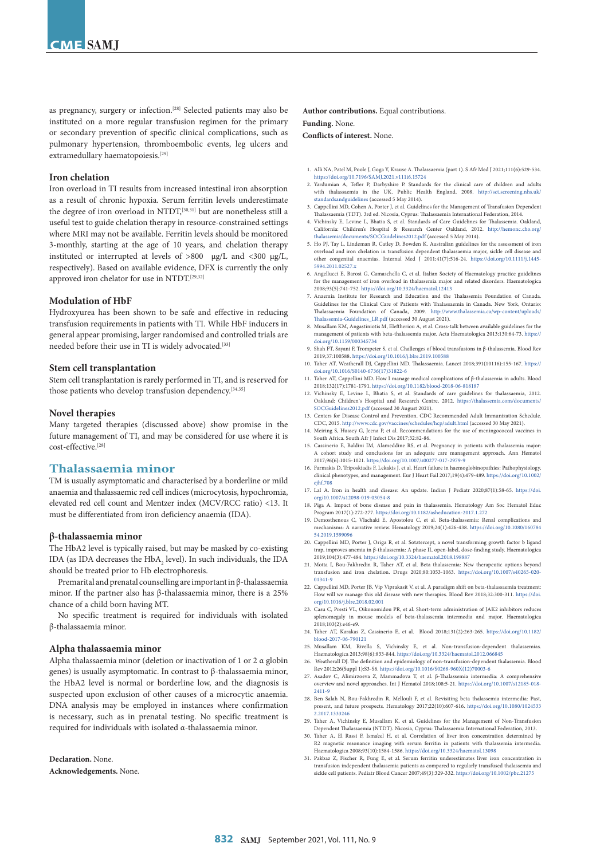as pregnancy, surgery or infection.<sup>[28]</sup> Selected patients may also be instituted on a more regular transfusion regimen for the primary or secondary prevention of specific clinical complications, such as pulmonary hypertension, thromboembolic events, leg ulcers and extramedullary haematopoiesis.<sup>[29]</sup>

#### **Iron chelation**

Iron overload in TI results from increased intestinal iron absorption as a result of chronic hypoxia. Serum ferritin levels underestimate the degree of iron overload in NTDT,<sup>[30,31]</sup> but are nonetheless still a useful test to guide chelation therapy in resource-constrained settings where MRI may not be available. Ferritin levels should be monitored 3-monthly, starting at the age of 10 years, and chelation therapy instituted or interrupted at levels of >800 μg/L and <300 μg/L, respectively). Based on available evidence, DFX is currently the only approved iron chelator for use in NTDT.[29,32]

#### **Modulation of HbF**

Hydroxyurea has been shown to be safe and effective in reducing transfusion requirements in patients with TI. While HbF inducers in general appear promising, larger randomised and controlled trials are needed before their use in TI is widely advocated.<sup>[33]</sup>

#### **Stem cell transplantation**

Stem cell transplantation is rarely performed in TI, and is reserved for those patients who develop transfusion dependency.<sup>[34,35]</sup>

#### **Novel therapies**

Many targeted therapies (discussed above) show promise in the future management of TI, and may be considered for use where it is cost-effective.[28]

# **Thalassaemia minor**

TM is usually asymptomatic and characterised by a borderline or mild anaemia and thalassaemic red cell indices (microcytosis, hypochromia, elevated red cell count and Mentzer index (MCV/RCC ratio) <13. It must be differentiated from iron deficiency anaemia (IDA).

#### **β-thalassaemia minor**

The HbA2 level is typically raised, but may be masked by co-existing IDA (as IDA decreases the  $HbA_2$  level). In such individuals, the IDA should be treated prior to Hb electrophoresis.

Premarital and prenatal counselling are important in β-thalassaemia minor. If the partner also has β-thalassaemia minor, there is a 25% chance of a child born having MT.

No specific treatment is required for individuals with isolated β-thalassaemia minor.

## **Alpha thalassaemia minor**

Alpha thalassaemia minor (deletion or inactivation of 1 or 2 α globin genes) is usually asymptomatic. In contrast to β-thalassaemia minor, the HbA2 level is normal or borderline low, and the diagnosis is suspected upon exclusion of other causes of a microcytic anaemia. DNA analysis may be employed in instances where confirmation is necessary, such as in prenatal testing. No specific treatment is required for individuals with isolated α-thalassaemia minor.

**Declaration.** None.

**Acknowledgements.** None.

**Author contributions.** Equal contributions. **Funding.** None.

**Conflicts of interest.** None.

- 1. Alli NA, Patel M, Poole J, Goga Y, Krause A. Thalassaemia (part 1). S Afr Med J 2021;111(6):529-534. <https://doi.org/10.7196/SAMJ.2021.v111i6.15724>
- 2. Yardumian A, Tefler P, Darbyshire P. Standards for the clinical care of children and adults with thalassaemia in the UK. Public Health England, 2008. [http://sct.screening.nhs.uk/](http://sct.screening.nhs.uk/standardsandguidelines) [standardsandguidelines](http://sct.screening.nhs.uk/standardsandguidelines) (accessed 5 May 2014).
- 3. Cappellini MD, Cohen A, Porter J, et al. Guidelines for the Management of Transfusion Dependent Thalassaemia (TDT). 3rd ed. Nicosia, Cyprus: Thalassaemia International Federation, 2014.
- 4. Vichinsky E, Levine L, Bhatia S, et al. Standards of Care Guidelines for Thalassemia. Oakland, California: Children's Hospital & Research Center Oakland, 2012. [http://hemonc.cho.org/](http://hemonc.cho.org/thalassemia/documents/SOCGuidelines2012.pdf) [thalassemia/documents/SOCGuidelines2012.pdf](http://hemonc.cho.org/thalassemia/documents/SOCGuidelines2012.pdf) (accessed 5 May 2014).
- 5. Ho PJ, Tay L, Lindeman R, Catley D, Bowden K. Australian guidelines for the assessment of iron overload and iron chelation in transfusion dependent thala other congenital anaemias. Internal Med J 2011;41(7):516-24. [https://doi.org/10.1111/j.1445-](https://doi.org/10.1111/j.1445-5994.2011.02527.x) [5994.2011.02527.x](https://doi.org/10.1111/j.1445-5994.2011.02527.x)
- 6. Angellucci E, Barosi G, Camaschella C, et al. Italian Society of Haematology practice guidelines for the management of iron overload in thalassemia major and related disorders. Haematologica 2008;93(5):741-752. <https://doi.org/10.3324/haematol.12413>
- 7. Anaemia Institute for Research and Education and the Thalassemia Foundation of Canada. Guidelines for the Clinical Care of Patients with Thalassaemia in Canada. New York, Ontario: Thalassaemia Foundation of Canada, 2009. [http://www.thalassemia.ca/wp-content/uploads/](http://www.thalassemia.ca/wp-content/uploads/Thalassemia-Guidelines_LR.pdf) [Thalassemia-Guidelines\\_LR.pdf](http://www.thalassemia.ca/wp-content/uploads/Thalassemia-Guidelines_LR.pdf) (accessed 30 August 2021).
- 8. Musallam KM, Angastiniotis M, Eleftheriou A, et al. Cross-talk between available guidelines for the management of patients with beta-thalassemia major. Acta Haematologica 2013;130:64-73. [https://](https://doi.org/10.1159/000345734) [doi.org/10.1159/000345734](https://doi.org/10.1159/000345734)
- 9. Shah FT, Sayani F, Trompeter S, et al. Challenges of blood transfusions in β-thalassemia. Blood Rev 2019;37:100588.<https://doi.org/10.1016/j.blre.2019.100588>
- 10. Taher AT, Weatherall DJ, Cappellini MD. Thalassaemia. Lancet 2018;391(10116):155-167. [https://](https://doi.org/10.1016/S0140-6736(17)31822-6) [doi.org/10.1016/S0140-6736\(17\)31822-6](https://doi.org/10.1016/S0140-6736(17)31822-6)
- 11. Taher AT, Cappellini MD. How I manage medical complications of β-thalassemia in adults. Blood 2018;132(17):1781-1791. <https://doi.org/10.1182/blood-2018-06-818187>
- 12. Vichinsky E, Levine L, Bhatia S, et al. Standards of care guidelines for thalassaemia, 2012. Oakland: Children's Hospital and Research Centre, 2012. [https://thalassemia.com/documents/](https://thalassemia.com/documents/SOCGuidelines2012.pdf) [SOCGuidelines2012.pdf](https://thalassemia.com/documents/SOCGuidelines2012.pdf) (accessed 30 August 2021).
- 13. Centers for Disease Control and Prevention. CDC Recommended Adult Immunization Schedule. CDC, 2015.<http://www.cdc.gov/vaccines/schedules/hcp/adult.html> (accessed 30 May 2021).
- 14. Meiring S, Hussey G, Jeena P, et al. Recommendations for the use of meningococcal vaccines in South Africa. South Afr J Infect Dis 2017;32:82-86.
- 15. Cassinerio E, Baldini IM, Alameddine RS, et al. Pregnancy in patients with thalassemia major: A cohort study and conclusions for an adequate care management approach. Ann Hematol 2017;96(6):1015-1021.<https://doi.org/10.1007/s00277-017-2979-9>
- 16. Farmakis D, Triposkiadis F, Lekakis J, et al. Heart failure in haemoglobinopathies: Pathophysiology, clinical phenotypes, and management. Eur J Heart Fail 2017;19(4):479-489. [https://doi.org/10.1002/](https://doi.org/10.1002/ejhf.708) [ejhf.708](https://doi.org/10.1002/ejhf.708)
- 17. Lal A. Iron in health and disease: An update. Indian J Pediatr 2020;87(1):58-65. [https://doi.](https://doi.org/10.1007/s12098-019-03054-8) [org/10.1007/s12098-019-03054-8](https://doi.org/10.1007/s12098-019-03054-8)
- 18. Piga A. Impact of bone disease and pain in thalassemia. Hematology Am Soc Hematol Educ Program 2017(1):272-277.<https://doi.org/10.1182/asheducation-2017.1.272>
- 19. Demosthenous C, Vlachaki E, Apostolou C, et al. Beta-thalassemia: Renal complications and mechanisms: A narrative review. Hematology 2019;24(1):426-438. [https://doi.org/10.1080/160784](https://doi.org/10.1080/16078454.2019.1599096) 54.2019.159909
- 20. Cappellini MD, Porter J, Origa R, et al. Sotatercept, a novel transforming growth factor b ligand trap, improves anemia in β-thalassemia: A phase II, open-label, dose-finding study. Haematologica 2019;104(3):477-484.<https://doi.org/10.3324/haematol.2018.198887>
- 21. Motta I, Bou-Fakhredin R, Taher AT, et al. Beta thalassemia: New therapeutic options beyond transfusion and iron chelation. Drugs 2020;80:1053-1063. https://doi.org/10.1007/s40265-020transfusion and iron chelation. Drugs 2020;80:1053-1063. https://doi.o [01341-9](https://doi.org/10.1007/s40265-020-01341-9)
- 22. Cappellini MD, Porter JB, Vip Viprakasit V, et al. A paradigm shift on beta-thalassaemia treatment: How will we manage this old disease with new therapies. Blood Rev 2018;32:300-311. [https://doi.](https://doi.org/10.1016/j.blre.2018.02.001) [org/10.1016/j.blre.2018.02.001](https://doi.org/10.1016/j.blre.2018.02.001)
- 23. Casu C, Presti VL, Oikonomidou PR, et al. Short-term administration of JAK2 inhibitors reduces splenomegaly in mouse models of beta-thalassemia intermedia and major. Haematologica 2018;103(2):e46-e9.
- 24. Taher AT, Karakas Z, Cassinerio E, et al. Blood 2018;131(2):263-265. [https://doi.org/10.1182/](https://doi.org/10.1182/blood-2017-06-790121) [blood-2017-06-790121](https://doi.org/10.1182/blood-2017-06-790121)
- 25. Musallam KM, Rivella S, Vichinsky E, et al. Non-transfusion-dependent thalassemias. Haematologica 2013;98(6):833-844. <https://doi.org/10.3324/haematol.2012.066845> 26. Weatherall DJ. The definition and epidemiology of non-transfusion-dependent thalassemia. Blood
- Rev 2012;26(Suppl 1):S3-S6. [https://doi.org/10.1016/S0268-960X\(12\)70003-6](https://doi.org/10.1016/S0268-960X(12)70003-6)
- 27. Asadov C, Alimirzoeva Z, Mammadova T, et al. β-Thalassemia intermedia: A comprehensive overview and novel approaches. Int J Hematol 2018;108:5-21. [https://doi.org/10.1007/s12185-018-](https://doi.org/10.1007/s12185-018-2411-9) [2411-9](https://doi.org/10.1007/s12185-018-2411-9)
- 28. Ben Salah N, Bou-Fakhredin R, Mellouli F, et al. Revisiting beta thalassemia intermedia: Past, present, and future prospects. Hematology 2017;22(10):607-616. [https://doi.org/10.1080/1024533](https://doi.org/10.1080/10245332.2017.1333246) [2.2017.1333246](https://doi.org/10.1080/10245332.2017.1333246)
- 29. Taher A, Vichinsky E, Musallam K, et al. Guidelines for the Management of Non-Transfusion Dependent Thalassaemia (NTDT). Nicosia, Cyprus: Thalassaemia International Federation, 2013. 30. Taher A, El Rassi F, Isma'eel H, et al. Correlation of liver iron concentration determined by
- R2 magnetic resonance imaging with serum ferritin in patients with thalassemia intermedia. Haematologica 2008;93(10):1584-1586. <https://doi.org/10.3324/haematol.13098>
- 31. Pakbaz Z, Fischer R, Fung E, et al. Serum ferritin underestimates liver iron concentration in transfusion independent thalassemia patients as compared to regularly transfused thalassemia and sickle cell patients. Pediatr Blood Cancer 2007;49(3):329-332. <https://doi.org/10.1002/pbc.21275>